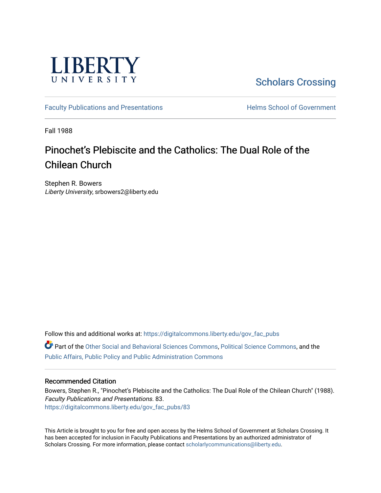

[Scholars Crossing](https://digitalcommons.liberty.edu/) 

[Faculty Publications and Presentations](https://digitalcommons.liberty.edu/gov_fac_pubs) **Exercise School of Government** 

Fall 1988

# Pinochet's Plebiscite and the Catholics: The Dual Role of the Chilean Church

Stephen R. Bowers Liberty University, srbowers2@liberty.edu

Follow this and additional works at: [https://digitalcommons.liberty.edu/gov\\_fac\\_pubs](https://digitalcommons.liberty.edu/gov_fac_pubs?utm_source=digitalcommons.liberty.edu%2Fgov_fac_pubs%2F83&utm_medium=PDF&utm_campaign=PDFCoverPages) Part of the [Other Social and Behavioral Sciences Commons](http://network.bepress.com/hgg/discipline/437?utm_source=digitalcommons.liberty.edu%2Fgov_fac_pubs%2F83&utm_medium=PDF&utm_campaign=PDFCoverPages), [Political Science Commons](http://network.bepress.com/hgg/discipline/386?utm_source=digitalcommons.liberty.edu%2Fgov_fac_pubs%2F83&utm_medium=PDF&utm_campaign=PDFCoverPages), and the

[Public Affairs, Public Policy and Public Administration Commons](http://network.bepress.com/hgg/discipline/393?utm_source=digitalcommons.liberty.edu%2Fgov_fac_pubs%2F83&utm_medium=PDF&utm_campaign=PDFCoverPages)

# Recommended Citation

Bowers, Stephen R., "Pinochet's Plebiscite and the Catholics: The Dual Role of the Chilean Church" (1988). Faculty Publications and Presentations. 83. [https://digitalcommons.liberty.edu/gov\\_fac\\_pubs/83](https://digitalcommons.liberty.edu/gov_fac_pubs/83?utm_source=digitalcommons.liberty.edu%2Fgov_fac_pubs%2F83&utm_medium=PDF&utm_campaign=PDFCoverPages) 

This Article is brought to you for free and open access by the Helms School of Government at Scholars Crossing. It has been accepted for inclusion in Faculty Publications and Presentations by an authorized administrator of Scholars Crossing. For more information, please contact [scholarlycommunications@liberty.edu.](mailto:scholarlycommunications@liberty.edu)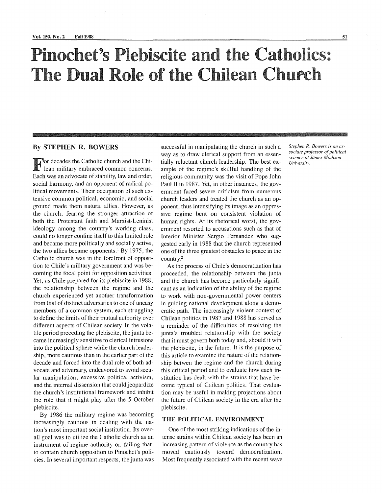# Pinochet's Plebiscite and the Catholics: **The** Dual Role of the Chilean Chupch

## By STEPHEN R. BOWERS

For decades the Catholic church and the Chi-lean military embraced common concerns. Each was an advocate of stability, law and order, social harmony, and an opponent of radical political movements. Their occupation of such extensive common political, economic, and social ground made them natural allies. However, as the church, fearing the stronger attraction of both the Protestant faith and Marxist-Leninist ideology among the country's working class, could no longer confine itself to this limited role and became more politically and socially active, the two allies became opponents. $1$  By 1975, the Catholic church was in the forefront of opposition to Chile's military government and was becoming the focal point for opposition activities. Yet, as Chile prepared for its plebiscite in 1988, the relationship between the regime and the church experienced yet another transformation from that of distinct adversaries to one of uneasy members of a common system, each struggling to define the limits of their mutual authority over different aspects of Chilean society. In the volatile period preceding the plebiscite, the junta became increasingly sensitive to clerical intrusions into the political sphere while the church leadership, more cautious than in the earlier part of the decade and forced into the dual role of both advocate and adversary, endeavored to avoid secular manipulation, excessive political activism, and the internal dissension that could jeopardize the church's institutional framework and inhibit the role that it might play after the 5 October plebiscite.

By 1986 the military regime was becoming increasingly cautious in dealing with the nation's most important social institution. Its overall goal was to utilize the Catholic church as an instrument of regime authority or, failing that, to contain church opposition to Pinochet's policies. In several important respects, the junta was

successful in manipulating the church in such a way as to draw clerical support from an essentially reluctant church leadership. The best example of the regime's skillful handling of the religious community was the visit of Pope John Paul II in 1987. Yet, in other instances, the government faced severe criticism from numerous church leaders and treated the church as an opponent, thus intensifying its image as an oppressive regime bent on consistent violation of human rights. At its rhetorical worst, the government resorted to accusations such as that of Interior Minister Sergio Fernandez who suggested early in 1988 that the church represented one of the three greatest obstacles to peace in the country.<sup>2</sup>

As the process of Chile's democratization has proceeded, the relationship between the junta and the church has become particularly significant as an indication of the ability of the regime to work with non-governmental power centers in guiding national development along a democratic path. The increasingly violent context of Chilean politics in 1987 and 1988 has served as a reminder of the difficulties of resolving the junta's troubled relationship with the society that it must govern both today and, should it win the plebiscite, in the future. It is the purpose of this article to examine the nature of the relationship betwen the regime and the church during this critical period and to evaluate how each institution has dealt with the strains that have become typical of Chilean politics. That evaluation may be useful in making projections about the future of Chilean society in the era after the plebiscite.

#### THE POLITICAL ENVIRONMENT

One of the most striking indications of the intense strains within Chilean society has been an increasing pattern of violence as the country has moved cautiously toward democratization. Most frequently associated with the recent wave Stephen R. Bowers is an as*sociate professor of political science at James Madison University.*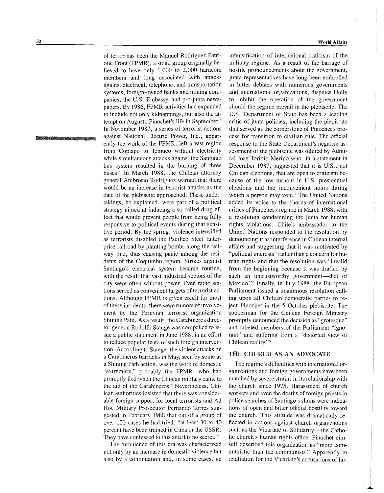of terror has been the Manuel Rodriguez Patriotic Front (FPMR), a small group originally believed to have only 1,000 to 2,000 hardcore members and long associated with attacks against electrical, telephone, and transportation systems, foreign-owned banks and mining companies, the U.S. Embassy, and pro-junta newspapers. By 1986, FPMR activities had expanded to include not only kidnappings, but also the attempt on Augusto Pinochet's life in September.<sup>3</sup> In November 1987, a series of terrorist actions against National Electric Power, Inc., apparently the work of the FPMR, left a vast region from Copiapo to Temuco without electricity while simultaneous attacks against the Santiago bus system resulted in the burning of three buses.<sup>4</sup> In March 1988, the Chilean attorney general Ambrosio Rodriguez warned that there would be an increase in terrorist attacks as the date of the plebiscite approached. These undertakings, he explained, were part of a political strategy aimed at inducing a so-called drug effect that would prevent people from being fully responsive to political events during that sensitive period. By the spring, violence intensified as terrorists disabled the Pacifico Steel Enterprise railroad by planting bombs along the railway line, thus causing panic among the residents of the Coquimbo region. Strikes against Santiago's electrical system became routine, with the result that vast industrial sectors of the city were often without power. Even radio stations served as convenient targets of terrorist actions. Although FPMR is given credit for most of these incidents, there were rumors of involvement by the Peruvian terrorist organization Shining Path. As a result, the Carabineros director general Rodolfo Stange was compelled to issue a public statement in June 1988, in an effort to reduce popular fears of such foreign intervention. According to Stange, the violent attacks on a Carabineros barracks in May, seen by some as a Shining Path action, was the work of domestic "extremists," probably the FPMR, who had promptly fled when the Chilean military came to the aid of the Carabineros.<sup>5</sup> Nevertheless, Chilean authorities insisted that there was considerable foreign support for local terrorists and Ad Hoc Military Prosecutor Fernando Torres suggested in February 1988 that out of a group of over 100 cases he had tried, "at least 30 to 40 percent have been trained in Cuba or the USSR. They have confessed to this and it is no secret."6

The turbulence of this era was characterized not only by an increase in domestic violence but also by a continuation and, in some cases, an

intensification of international criticism of the military regime. As a result of the barrage of hostile pronouncements about the government, junta representatives have long been embroiled in bitter debates with numerous governments and international organizations, disputes likely to inhibit the operation of the government should the regime prevail in the plebiscite. The U.S. Department of State has been a leading critic of junta policies, including the plebiscite that served as the cornerstone of Pinochet's process for transition to civilian rule. The official response to the State Department's negative assessment of the plebiscite was offered by Admiral Jose Toribio Merino who, in a statement in December 1987, suggested that it is U. S., not Chilean elections, that are open to criticism because of the low turnout in U.S. presidential elections and the inconvenient hours during which a person may vote.<sup>7</sup> The United Nations added its voice to the chorus of international critics of Pinochet's regime in March 1988, with a resolution condemning the junta for human rights violations. Chile's ambassador to the United Nations responded to the resolution by denouncing it as interference in Chilean internal affairs and suggesting that it was motivated by "political interests" rather than a concern for human rights and that the resolution was "invalid from the beginning because it was drafted by such an untrustworthy government-that of Mexico."s Finally, in July 1988, the European Parliament issued a unanimous resolution calling upon all Chilean democratic parties to reject Pinochet in the 5 October plebiscite. The spokesman for the Chilean Foreign Ministry promptly denounced the decision as "grotesque" and labeled members of the Parliament "ignorant" and suffering from a "distorted view of Chilean reality."9

#### THE CHURCH AS AN ADVOCATE

The regime's difficulties with international organizations and foreign governments have been matched by severe strains in its relationship with the church since 1975. Harassment of church workers and even the deaths of foreign priests in police searches of Santiago's slums were indications of open and bitter official hostility toward the church. This attitude was dramatically reflected in actions against church organizations such as the Vicariate of Solidarity—the Catholic church's human rights office. Pinochet himself described this organization as "more communistic than the communists." Apparently in retaliation for the Vicariate's accusations of hu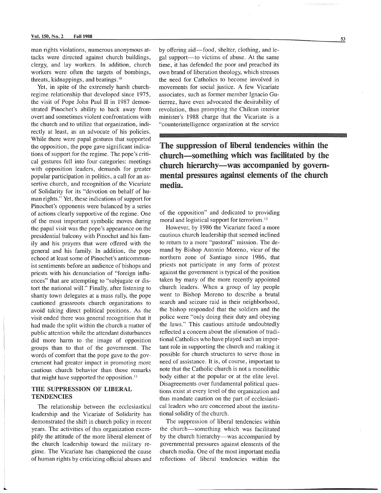man rights violations, numerous anonymous attacks were directed against church buildings, clergy, and lay workers. **In** addition, church workers were often the targets of bombings, threats, kidnappings, and beatings. 10

Yet, in spite of the extremely harsh churchregime relationship that developed since 1975, the visit of Pope John Paul II in 1987 demonstrated Pinochet's ability to back away from overt and sometimes violent confrontations with the church and to utilize that organization, indirectly at least, as an advocate of his policies. While there were papal gestures that supported the opposition, the pope gave significant indications of support for the regime. The pope's critical gestures fell into four categories: meetings with opposition leaders, demands for greater popular participation in politics, a call for an assertive church, and recognition of the Vicariate of Solidarity for its "devotion on behalf of human rights." Yet, these indications of support for Pinochet's opponents were balanced by a series of actions clearly supportive of the regime. One of the most important symbolic moves during the papal visit was the pope's appearance on the presidential balcony with Pinochet and his family and his prayers that were offered with the general and his family. In addition, the pope echoed at least some of Pinochet's anticommunist sentiments before an audience of bishops and priests with his denunciation of "foreign influences" that are attempting to "subjugate or distort the national will." Finally, after listening to shanty town delegates at a mass rally, the pope cautioned grassroots church organizations to avoid taking direct political positions. As the visit ended there was general recognition that it had made the split within the church a matter of public attention while the attendant disturbances did more harm to the image of opposition groups than to that of the government. The words of comfort that the pope gave to the government had greater impact in promoting more cautious church behavior than those remarks that might have supported the opposition.<sup>11</sup>

## THE SUPPRESSION OF LIBERAL **TENDENCIES**

The relationship between the ecclesiastical leadership and the Vicariate of Solidarity has demonstrated the shift in church policy in recent years. The activities of this organization exemplify the attitude of the more liberal element of the church leadership toward the military regime. The Vicariate has championed the cause of human rights by criticizing official abuses and

by offering aid—food, shelter, clothing, and legal support—to victims of abuse. At the same time, it has defended the poor and preached its own brand of liberation theology, which stresses the need for Catholics to become involved in movements for social justice. A few Vicariate associates, such as former member Ignacio Gutierrez, have even advocated the desirability of revolution, thus prompting the Chilean interior minister's 1988 charge that the Vicariate is a "counterintelligence organization at the service

The suppression of liberal tendencies within the church-something which was facilitated by the church hierarchy-was accompanied by governmental pressures against elements of the church media.

of the opposition" and dedicated to providing moral and logistical support for terrorism. 12

However, by 1986 the Vicariate faced a more cautious church leadership that seemed inclined to return to a more "pastoral" mission. The demand by Bishop Antonio Moreno, vicar of the northern zone of Santiago since 1986, that priests not participate in any form of protest against the government is typical of the position taken by many of the more recently appointed church leaders. When a group of lay people went to Bishop Moreno to describe a brutal search and seizure raid in their neighborhood, the bishop responded that the soldiers and the police were "only doing their duty and obeying the laws." This cautious attitude undoubtedly reflected a concern about the alienation of traditional Catholics who have played such an important role in supporting the church and making it possible for church structures to serve those in need of assistance. It is, of course, important to note that the Catholic church is not a monolithic body either at the popular or at the elite level. Disagreements over fundamental political questions exist at every level of the organization and thus mandate caution on the part of ecclesiastical leaders who are concerned about the institutional solidity of the church.

The suppression of liberal tendencies within the church-something which was facilitated by the church hierarchy-was accompanied by governmental pressures against elements of the church media. One of the most important media reflections of liberal tendencies within the 53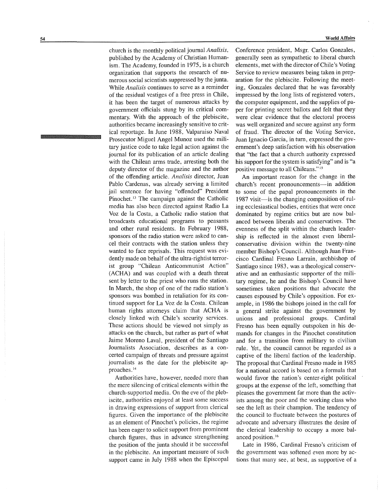church is the monthly political journal *Analisis,*  published by the Academy of Christian Humanism. The Academy, founded in 1975, is a church organization that supports the research of numerous social scientists suppressed by the junta. While *Analisis* continues to serve as a reminder of the residual vestiges of a free press in Chile, it has been the target of numerous attacks by government officials stung by its critical commentary. With the approach of the plebiscite, authorities became increasingly sensitive to critical reportage. In June 1988, Valparaiso Naval Prosecutor Miguel Angel Munoz used the military justice code to take legal action against the journal for its publication of an article dealing with the Chilean arms trade, arresting both the deputy director of the magazine and the author of the offending article. *Analisis* director, Juan Pablo Cardenas, was already serving a limited jail sentence for having "offended" President Pinochet.<sup>13</sup> The campaign against the Catholic media has also been directed against Radio La Voz de la Costa, a Catholic radio station that broadcasts educational programs to peasants and other rural residents. In February 1988, sponsors of the radio station were asked to cancel their contracts with the station unless they wanted to face reprisals. This request was evidently made on behalf of the ultra-rightist terrorist group "Chilean Anticommunist Action" (ACHA) and was coupled with a death threat sent by letter to the priest who runs the station. In March, the shop of one of the radio station's sponsors was bombed in retaliation for its continued support for La Voz de la Costa. Chilean human rights attorneys claim that ACHA is closely linked with Chile's security services. These actions should be viewed not simply as attacks on the church, but rather as part of what Jaime Moreno Laval, president of the Santiago Journalists Association, describes as a concerted campaign of threats and pressure against journalists as the date for the plebiscite ap-

Authorities have, however, needed more than the mere silencing of critical elements within the church-supported media. On the eve of the plebiscite, authorities enjoyed at least some success in drawing expressions of support from clerical figures. Given the importance of the plebiscite as an element of Pinochet's policies, the regime has been eager to solicit support from prominent church figures, thus in advance strengthening the position of the junta should it be successful in the plebiscite. An important measure of such support came in July 1988 when the Episcopal

proaches. <sup>14</sup>

World Affairs

Conference president, Msgr. Carlos Gonzales, generally seen as sympathetic to liberal church elements, met with the director of Chile's Voting Service to review measures being taken in preparation for the plebiscite. Following the meeting, Gonzales declared that he was favorably impressed by the long lists of registered voters, the computer equipment, and the supplies of paper for printing secret ballots and felt that they were clear evidence that the electoral process was well organized and secure against any form of fraud. The director of the Voting Service, Juan Ignacio Garcia, in turn, expressed the government's deep satisfaction with his observation that "the fact that a church authority expressed his support for the system is satisfying" and is "a positive message to all Chileans." 15

An important reason for the change in the church's recent pronouncements-in addition to some of the papal pronouncements in the 1987 visit—is the changing composition of ruling ecclesiastical bodies, entities that were once dominated by regime critics but are now balanced between liberals and conservatives. The evenness of the split within the church leadership is reflected in the almost even liberalconservative division within the twenty-nine member Bishop's Council. Although Juan Francisco Cardinal Fresno Larrain, archbishop of Santiago since 1983, was a theological conservative and an enthusiastic supporter of the military regime, he and the Bishop's Council have sometimes taken positions that advocate the causes espoused by Chile's opposition. For example, in 1986 the bishops joined in the call for a general strike against the government by unions and professional groups. Cardinal Fresno has been equally outspoken in his demands for changes in the Pinochet constitution and for a transition from military to civilian rule. Yet, the council cannot be regarded as a captive of the liberal faction of the leadership. The proposal that Cardinal Fresno made in 1985 for a national accord is based on a formula that would favor the nation's center-right political groups at the expense of the left, something that pleases the government far more than the activists among the poor and the working class who see the left as their champion. The tendency of the council to fluctuate between the postures of advocate and adversary illustrates the desire of the clerical leadership to occupy a more balanced position. <sup>16</sup>

Late in 1986, Cardinal Fresno's criticism of the government was softened even more by actions that many see, at best, as supportive of a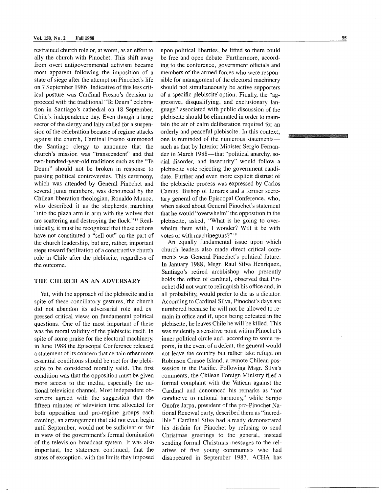restrained church role or, at worst, as an effort to ally the church with Pinochet. This shift away from overt antigovernmental activism became most apparent following the imposition of a state of siege after the attempt on Pinochet's life on 7 September 1986. Indicative of this less critical posture was Cardinal Fresno's decision to proceed with the traditional 'Te Deum" celebration in Santiago's cathedral on 18 September, Chile's independence day. Even though a large sector of the clergy and laity called for a suspension of the celebration because of regime attacks against the church, Cardinal Fresno summoned the Santiago clergy to announce that the church's mission was "transcendent" and that two-hundred-year-old traditions such as the "Te Deum" should not be broken in response to passing political controversies. This ceremony, which was attended by General Pinochet and several junta members, was denounced by the Chilean liberation theologian, Ronaldo Munoz, who described it as the shepherds marching "into the plaza arm in arm with the wolves that are scattering and destroying the flock."<sup>17</sup> Realistically, it must be recognized that these actions have not constituted a "sell-out" on the part of the church leadership, but are, rather, important steps toward facilitation of a constructive church role in Chile after the plebiscite, regardless of the outcome.

#### THE CHURCH AS AN ADVERSARY

Yet, with the approach of the plebiscite and in spite of these conciliatory gestures, the church did not abandon its adversarial role and expressed critical views on fundamental political questions. One of the most important of these was the moral validity of the plebiscite itself. In spite of some praise for the electoral machinery, in June 1988 the Episcopal Conference released a statement of its concern that certain other more essential conditions should be met for the plebiscite to be considered morally valid. The first condition was that the opposition must be given more access to the media, especially the national television channel. Most independent observers agreed with the suggestion that the fifteen minutes of television time allocated for both opposition and pro-regime groups each evening, an arrangement that did not even begin until September, would not be sufficient or fair in view of the government's formal domination of the television broadcast system. It was also important, the statement continued, that the states of exception, with the limits they imposed

upon political liberties, be lifted so there could be free and open debate. Furthermore, according to the conference, government officials and members of the armed forces who were responsible for management of the electoral machinery should not simultaneously be active supporters of a specific plebiscite option. Finally, the "aggressive, disqualifying, and exclusionary language" associated with public discussion of the plebiscite should be eliminated in order to maintain the air of calm deliberation required for an orderly and peaceful plebiscite. In this context, one is reminded of the numerous statementssuch as that by Interior Minister Sergio Fernandez in March 1988—that "political anarchy, social disorder, and insecurity" would follow a plebiscite vote rejecting the government candidate. Further and even more explicit distrust of the plebiscite process was expressed by Carlos Camus, Bishop of Linares and a former secretary general of the Episcopal Conference, who, when asked about General Pinochet's statement that he would "overwhelm" the opposition in the plebiscite, asked, "What is he going to overwhelm them with, I wonder? Will it be with votes or with machineguns?" $18$ 

An equally fundamental issue upon which church leaders also made direct critical comments was General Pinochet's political future. In January 1988, Msgr. Raul Silva Henriquez, Santiago's retired archbishop who presently holds the office of cardinal, observed that Pinochet did not want to relinquish his office and, in all probability, would prefer to die as a dictator. According to Cardinal Silva, Pinochet's days are numbered because he will not be allowed to remain in office and if, upon being defeated in the plebiscite, he leaves Chile he will be killed. This was evidently a sensitive point within Pinochet's inner political circle and, according to some reports, in the event of a defeat, the general would not leave the country but rather take refuge on Robinson Crusoe Island, a remote Chilean possession in the Pacific. Following Msgr. Silva's comments, the Chilean Foreign Ministry filed a formal complaint with the Vatican against the Cardinal and denounced his remarks as "not conducive to national harmony," while Sergio Onofre Jarpa, president of the pro-Pinochet National Renewal party, described them as "incredible." Cardinal Silva had already demonstrated his disdain for Pinochet by refusing to send Christmas greetings to the general, instead sending formal Christmas messages to the relatives of five young communists who had disappeared in September 1987. ACHA has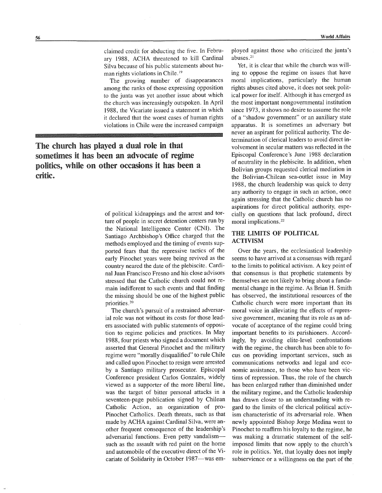The growing number of disappearances among the ranks of those expressing opposition to the junta was yet another issue about which the church was increasingly outspoken. In April 1988, the Vicariate issued a statement in which it declared that the worst cases of human rights violations in Chile were the increased campaign

The church has played a dual role in that sometimes it has been an advocate of regime politics, while on other occasions it has been a critic.

> of political kidnappings and the arrest and torture of people in secret detention centers run by the National Intelligence Center (CNI). The Santiago Archbishop's Office charged that the methods employed and the timing of events supported fears that the repressive tactics of the early Pinochet years were being revived as the country neared the date of the plebiscite. Cardinal Juan Francisco Fresno and his close advisors stressed that the Catholic church could not remain indifferent to such events and that finding the missing should be one of the highest public priorities. <sup>20</sup>

The church's pursuit of a restrained adversarial role was not without its costs for those leaders associated with public statements of opposition to regime policies and practices. In May 1988, four priests who signed a document which asserted that General Pinochet and the military regime were "morally disqualified" to rule Chile and called upon Pinochet to resign were arrested by a Santiago military prosecutor. Episcopal Conference president Carlos Gonzales, widely viewed as a supporter of the more liberal line, was the target of bitter personal attacks in a seventeen-page publication signed by Chilean Catholic Action, an organization of pro-Pinochet Catholics. Death threats, such as that made by ACHA against Cardinal Silva, were another frequent consequence of the leadership's adversarial functions. Even petty vandalismsuch as the assault with red paint on the home and automobile of the executive direct of the Vicariate of Solidarity in October 1987-was employed against those who criticized the junta's abuses. <sup>21</sup>

Yet, it is clear that while the church was willing to oppose the regime on issues that have moral implications, particularly the human rights abuses cited above, it does not seek political power for itself. Although it has emerged as the most important nongovernmental institution since 1973, it shows no desire to assume the role of a "shadow government" or an auxiliary state apparatus. It is sometimes an adversary but never an aspirant for political authority. The determination of clerical leaders to avoid direct involvement in secular matters was reflected in the Episcopal Conference's June 1988 declaration of neutrality in the plebiscite. In addition, when Bolivian groups requested clerical mediation in the Bolivian-Chilean sea-outlet issue in May 1988, the church leadership was quick to deny any authority to engage in such an action, once again stressing that the Catholic church has no aspirations for direct political authority, especially on questions that lack profound, direct moral implications. <sup>22</sup>

### THE LIMITS OF POLITICAL ACTIVISM

Over the years, the ecclesiastical leadership seems to have arrived at a consensus with regard to the limits to political activism. A key point of that consensus is that prophetic statements by themselves are not likely to bring about a fundamental change in the regime. As Brian H. Smith has observed, the institutional resources of the Catholic church were more important than its moral voice in alleviating the effects of repressive government, meaning that its role as an advocate of acceptance of the regime could bring important benefits to its parishioners. Accordingly, by avoiding elite-level confrontations with the regime, the church has been able to focus on providing important services, such as communications networks and legal and economic assistance, to those who have been victims of repression. Thus, the role of the church has been enlarged rather than diminished under the military regime, and the Catholic leadership has drawn closer to an understanding with regard to the limits of the clerical political activism characteristic of its adversarial role. When newly appointed Bishop Jorge Medina went to Pinochet to reaffirm his loyalty to the regime, he was making a dramatic statement of the selfimposed limits that now apply to the church's role in politics. Yet, that loyalty does not imply subservience or a willingness on the part of the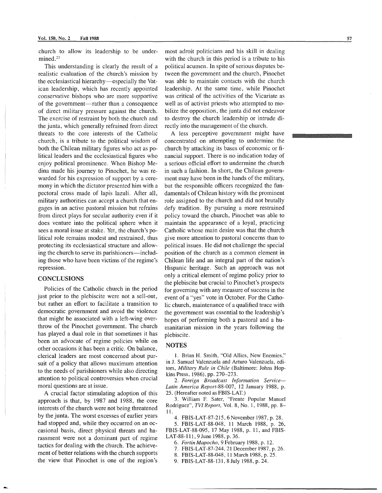church to allow its leadership to be undermined.<sup>23</sup>

This understanding is clearly the result of a realistic evaluation of the church's mission by the ecclesiastical hierarchy—especially the Vatican leadership, which has recently appointed conservative bishops who are more supportive of the government-rather than a consequence of direct military pressure against the church. The exercise of restraint by both the church and the junta, which generally refrained from direct threats to the core interests of the Catholic church, is a tribute to the political wisdom of both the Chilean military figures who act as political leaders and the ecclesiastical figures who enjoy political prominence. When Bishop Medina made his journey to Pinochet, he was rewarded for his expression of support by a ceremony in which the dictator presented him with a pectoral cross made of lapis lazuli. After all, military authorities can accept a church that engages in an active pastoral mission but refrains from direct plays for secular authority even if it does venture into the political sphere when it sees a moral issue at stake. Yet, the church's political role remains modest and restrained, thus protecting its ecclesiastical structure and allowing the church to serve its parishioners—including those who have been victims of the regime's repression.

#### **CONCLUSIONS**

Policies of the Catholic church in the period just prior to the plebiscite were not a sell-out, but rather an effort to facilitate a transition to democratic government and avoid the violence that might be associated with a left-wing overthrow of the Pinochet government. The church has played a dual role in that sometimes it has been an advocate of regime policies while on other occasions it has been a critic. On balance, clerical leaders are most concerned about pursuit of a policy that allows maximum attention to the needs of parishioners while also directing attention to political controversies when crucial moral questions are at issue.

A crucial factor stimulating adoption of this approach is that, by 1987 and 1988, the core interests of the church were not being threatened by the junta. The worst excesses of earlier years had stopped and, while they occurred on an occasional basis, direct physical threats and harassment were not a dominant part of regime tactics for dealing with the church. The achievement of better relations with the church supports the view that Pinochet is one of the region's most adroit politicians and his skill in dealing with the church in this period is a tribute to his political acumen. In spite of serious disputes between the government and the church, Pinochet was able to maintain contacts with the church leadership. At the same time, while Pinochet was critical of the activities of the Vicariate as well as of activist priests who attempted to mobilize the opposition, the junta did not endeavor to destroy the church leadership or intrude directly into the management of the church.

A less perceptive government might have concentrated on attempting to undermine the church by attacking its bases of economic or financial support. There is no indication today of a serious official effort to undermine the church in such a fashion. In short, the Chilean government may have been in the hands of the military, but the responsible officers recognized the fundamentals of Chilean history with the prominent role assigned to the church and did not brutally defy tradition. By pursuing a more restrained policy toward the church, Pinochet was able to maintain the appearance of a loyal, practicing Catholic whose main desire was that the church give more attention to pastoral concerns than to political issues. He did not challenge the special position of the church as a common element in Chilean life and an integral part of the nation's Hispanic heritage. Such an approach was not only a critical element of regime policy prior to the plebiscite but crucial to Pinochet's prospects for governing with any measure of success in the event of a "yes" vote in October. For the Catholic church, maintenance of a qualified truce with the government was essential to the leadership's hopes of performing both a pastoral and a humanitarian mission in the years following the plebiscite.

#### **NOTES**

1. Brian H. Smith, "Old Allies, New Enemies," in J. Samuel Valenzuela and Arturo Valenzuela, editors, *Military Rule in Chile* (Baltimore: Johns Hopkins Press, 1986), pp. 270-273.

*2. Foreign Broadcast Information Service-Latin America Report-88-007,* 12 January 1988, p. 25. (Hereafter noted as FBIS-LAT.)

3. William F. Sater, "Frente Popular Manuel Rodriguez", *TVI Report,* Vol. 8, No.1, 1988, pp. 8- 11.

4. FBlS-LAT-87-215, 6 November 1987, p. 28.

5. FBlS-LAT-88-048, 11 March 1988, p. 26, FBIS-LAT-88-095, 17 May 1988, p. 11, and FBIS-LAT-88-111, 9 June 1988, p. 36.

- 6. *Fortin Mapocho,* 9 February 1988, p. 12.
- 7. FBIS-LAT-87-244, 21 December 1987, p. 26.
- 8. FBIS-LAT-88-048, 11 March 1988, p. 25.
- 9. FBIS-LAT-88-131, 8 July 1988, p. 24.